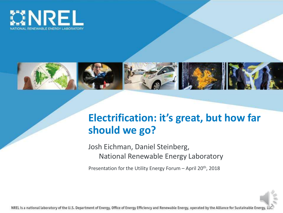



# **Electrification: it's great, but how far should we go?**

Josh Eichman, Daniel Steinberg, National Renewable Energy Laboratory

Presentation for the Utility Energy Forum – April  $20<sup>th</sup>$ , 2018

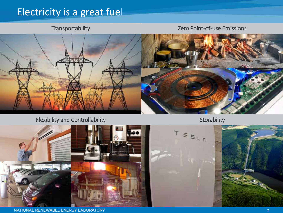# Electricity is a great fuel

Transportability Zero Point-of-use Emissions



#### Flexibility and Controllability Storability Storability Storability

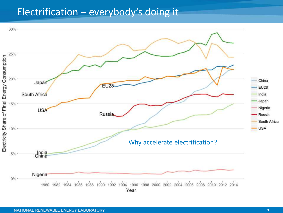### Electrification – everybody's doing it

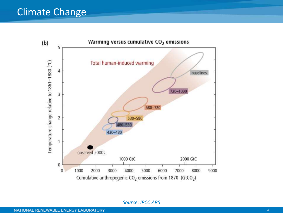#### Climate Change



*Source: IPCC AR5*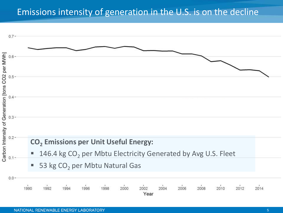#### Emissions intensity of generation in the U.S. is on the decline

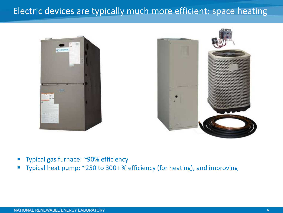#### Electric devices are typically much more efficient: space heating





- Typical gas furnace: ~90% efficiency
- Typical heat pump: ~250 to 300+ % efficiency (for heating), and improving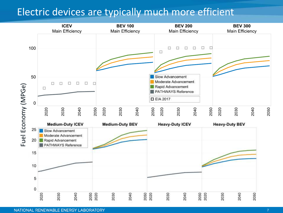### Electric devices are typically much more efficient

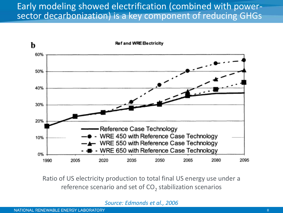#### Early modeling showed electrification (combined with powersector decarbonization) is a key component of reducing GHGs



Ratio of US electricity production to total final US energy use under a reference scenario and set of  $CO_2$  stabilization scenarios

*Source: Edmonds et al., 2006*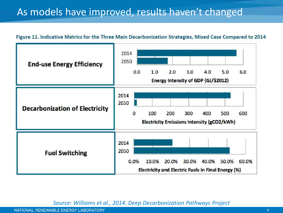# As models have improved, results haven't changed

#### Figure 11. Indicative Metrics for the Three Main Decarbonization Strategies, Mixed Case Compared to 2014



*Source: Williams et al., 2014. Deep Decarbonization Pathways Project*

NATIONAL RENEWABLE ENERGY LABORATORY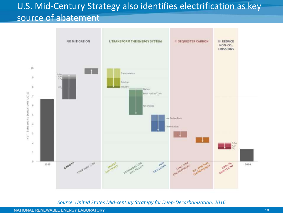# U.S. Mid-Century Strategy also identifies electrification as key source of abatement



*Source: United States Mid-century Strategy for Deep-Decarbonization, 2016*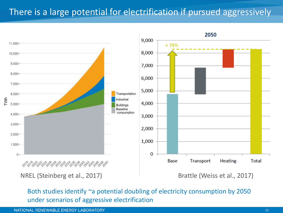#### There is a large potential for electrification if pursued aggressively



Both studies identify ~a potential doubling of electricity consumption by 2050 under scenarios of aggressive electrification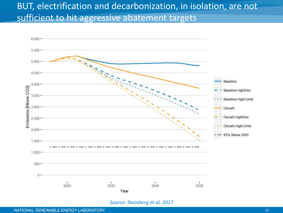#### BUT, electrification and decarbonization, in isolation, are not sufficient to hit aggressive abatement targets



#### *Source: Steinberg et al, 2017*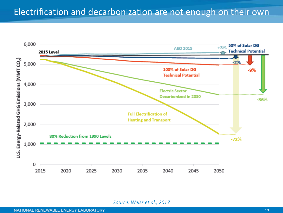

*Source: Weiss et al., 2017*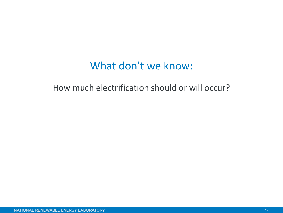# What don't we know:

How much electrification should or will occur?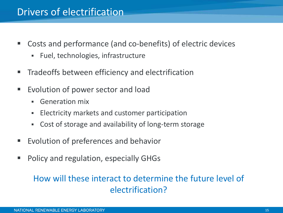### Drivers of electrification

- Costs and performance (and co-benefits) of electric devices
	- Fuel, technologies, infrastructure
- **Tradeoffs between efficiency and electrification**
- Evolution of power sector and load
	- Generation mix
	- **Electricity markets and customer participation**
	- Cost of storage and availability of long-term storage
- Evolution of preferences and behavior
- Policy and regulation, especially GHGs

#### How will these interact to determine the future level of electrification?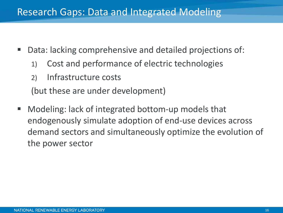### Research Gaps: Data and Integrated Modeling

- Data: lacking comprehensive and detailed projections of:
	- 1) Cost and performance of electric technologies
	- 2) Infrastructure costs

(but these are under development)

■ Modeling: lack of integrated bottom-up models that endogenously simulate adoption of end-use devices across demand sectors and simultaneously optimize the evolution of the power sector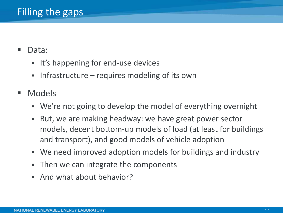- Data:
	- It's happening for end-use devices
	- **.** Infrastructure requires modeling of its own
- Models
	- We're not going to develop the model of everything overnight
	- But, we are making headway: we have great power sector models, decent bottom-up models of load (at least for buildings and transport), and good models of vehicle adoption
	- We need improved adoption models for buildings and industry
	- Then we can integrate the components
	- And what about behavior?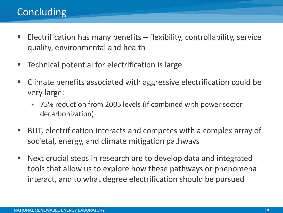# Concluding

- Electrification has many benefits flexibility, controllability, service quality, environmental and health
- Technical potential for electrification is large
- Climate benefits associated with aggressive electrification could be very large:
	- 75% reduction from 2005 levels (if combined with power sector decarbonization)
- BUT, electrification interacts and competes with a complex array of societal, energy, and climate mitigation pathways
- Next crucial steps in research are to develop data and integrated tools that allow us to explore how these pathways or phenomena interact, and to what degree electrification should be pursued